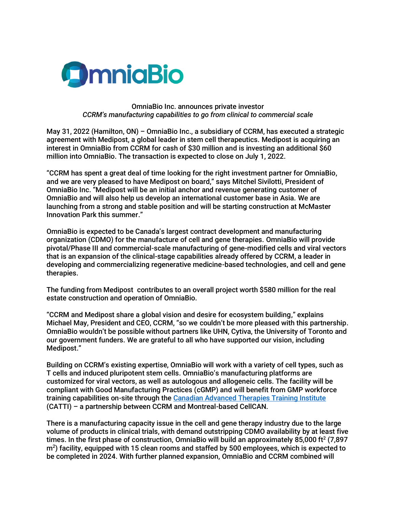

## OmniaBio Inc. announces private investor *CCRM's manufacturing capabilities to go from clinical to commercial scale*

May 31, 2022 (Hamilton, ON) – OmniaBio Inc., a subsidiary of CCRM, has executed a strategic agreement with Medipost, a global leader in stem cell therapeutics. Medipost is acquiring an interest in OmniaBio from CCRM for cash of \$30 million and is investing an additional \$60 million into OmniaBio. The transaction is expected to close on July 1, 2022.

"CCRM has spent a great deal of time looking for the right investment partner for OmniaBio, and we are very pleased to have Medipost on board," says Mitchel Sivilotti, President of OmniaBio Inc. "Medipost will be an initial anchor and revenue generating customer of OmniaBio and will also help us develop an international customer base in Asia. We are launching from a strong and stable position and will be starting construction at McMaster Innovation Park this summer."

OmniaBio is expected to be Canada's largest contract development and manufacturing organization (CDMO) for the manufacture of cell and gene therapies. OmniaBio will provide pivotal/Phase III and commercial-scale manufacturing of gene-modified cells and viral vectors that is an expansion of the clinical-stage capabilities already offered by CCRM, a leader in developing and commercializing regenerative medicine-based technologies, and cell and gene therapies.

The funding from Medipost contributes to an overall project worth \$580 million for the real estate construction and operation of OmniaBio.

"CCRM and Medipost share a global vision and desire for ecosystem building," explains Michael May, President and CEO, CCRM, "so we couldn't be more pleased with this partnership. OmniaBio wouldn't be possible without partners like UHN, Cytiva, the University of Toronto and our government funders. We are grateful to all who have supported our vision, including Medipost."

Building on CCRM's existing expertise, OmniaBio will work with a variety of cell types, such as T cells and induced pluripotent stem cells. OmniaBio's manufacturing platforms are customized for viral vectors, as well as autologous and allogeneic cells. The facility will be compliant with Good Manufacturing Practices (cGMP) and will benefit from GMP workforce training capabilities on-site through the [Canadian Advanced Therapies Training Institute](https://www.cellcan.com/en/) (CATTI) – a partnership between CCRM and Montreal-based CellCAN.

There is a manufacturing capacity issue in the cell and gene therapy industry due to the large volume of products in clinical trials, with demand outstripping CDMO availability by at least five times. In the first phase of construction, OmniaBio will build an approximately 85,000 ft<sup>2</sup> (7,897 m<sup>2</sup>) facility, equipped with 15 clean rooms and staffed by 500 employees, which is expected to be completed in 2024. With further planned expansion, OmniaBio and CCRM combined will